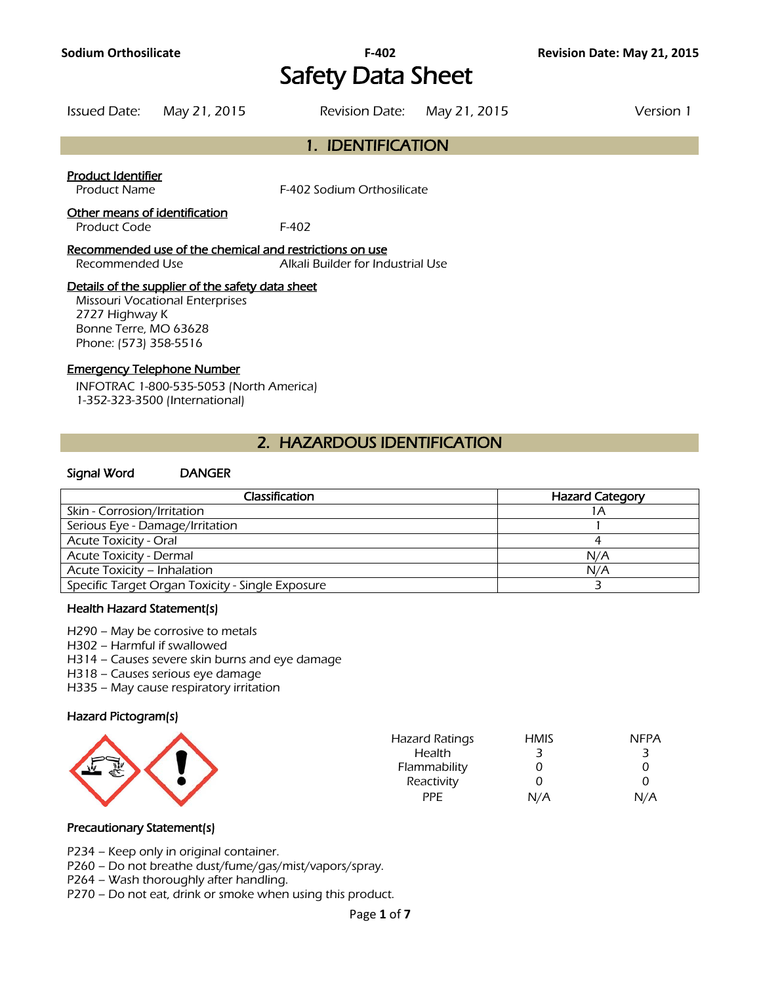# Safety Data Sheet

Issued Date: May 21, 2015 Revision Date: May 21, 2015 Version 1

## 1. IDENTIFICATION

#### Product Identifier

Product Name F-402 Sodium Orthosilicate

## Other means of identification

Product Code F-402

#### Recommended use of the chemical and restrictions on use

Recommended Use Alkali Builder for Industrial Use

## Details of the supplier of the safety data sheet

Missouri Vocational Enterprises 2727 Highway K Bonne Terre, MO 63628 Phone: (573) 358-5516

#### Emergency Telephone Number

INFOTRAC 1-800-535-5053 (North America) 1-352-323-3500 (International)

## 2. HAZARDOUS IDENTIFICATION

#### Signal Word DANGER

| Classification                                   | <b>Hazard Category</b> |
|--------------------------------------------------|------------------------|
| Skin - Corrosion/Irritation                      |                        |
| Serious Eye - Damage/Irritation                  |                        |
| <b>Acute Toxicity - Oral</b>                     |                        |
| <b>Acute Toxicity - Dermal</b>                   | N/A                    |
| Acute Toxicity - Inhalation                      | N/A                    |
| Specific Target Organ Toxicity - Single Exposure |                        |
|                                                  |                        |

#### Health Hazard Statement(s)

H290 – May be corrosive to metals

H302 – Harmful if swallowed

H314 – Causes severe skin burns and eye damage

H318 – Causes serious eye damage

H335 – May cause respiratory irritation

## Hazard Pictogram(s)

| <b>Hazard Ratings</b><br>Health<br>Flammability<br>Reactivity | <b>HMIS</b> | <b>NFPA</b> |
|---------------------------------------------------------------|-------------|-------------|
| <b>PPE</b>                                                    | N/A         | N/A         |
|                                                               |             |             |

## Precautionary Statement(s)

P234 – Keep only in original container.

P260 – Do not breathe dust/fume/gas/mist/vapors/spray.

P264 – Wash thoroughly after handling.

P270 – Do not eat, drink or smoke when using this product.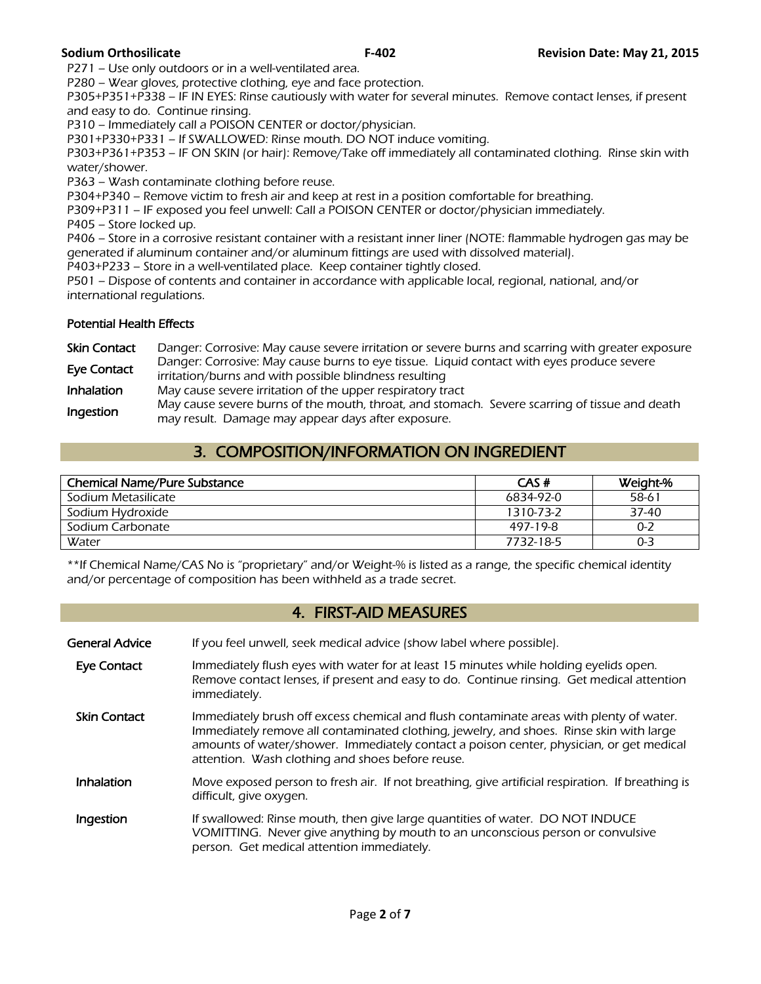P271 – Use only outdoors or in a well-ventilated area.

P280 – Wear gloves, protective clothing, eye and face protection.

P305+P351+P338 – IF IN EYES: Rinse cautiously with water for several minutes. Remove contact lenses, if present and easy to do. Continue rinsing.

P310 – Immediately call a POISON CENTER or doctor/physician.

P301+P330+P331 – If SWALLOWED: Rinse mouth. DO NOT induce vomiting.

P303+P361+P353 – IF ON SKIN (or hair): Remove/Take off immediately all contaminated clothing. Rinse skin with water/shower.

P363 – Wash contaminate clothing before reuse.

P304+P340 – Remove victim to fresh air and keep at rest in a position comfortable for breathing.

P309+P311 – IF exposed you feel unwell: Call a POISON CENTER or doctor/physician immediately.

P405 – Store locked up.

P406 – Store in a corrosive resistant container with a resistant inner liner (NOTE: flammable hydrogen gas may be generated if aluminum container and/or aluminum fittings are used with dissolved material).

P403+P233 – Store in a well-ventilated place. Keep container tightly closed.

P501 – Dispose of contents and container in accordance with applicable local, regional, national, and/or international regulations.

## Potential Health Effects

| <b>Skin Contact</b> | Danger: Corrosive: May cause severe irritation or severe burns and scarring with greater exposure |
|---------------------|---------------------------------------------------------------------------------------------------|
| <b>Eye Contact</b>  | Danger: Corrosive: May cause burns to eye tissue. Liquid contact with eyes produce severe         |
|                     | irritation/burns and with possible blindness resulting                                            |
| <b>Inhalation</b>   | May cause severe irritation of the upper respiratory tract                                        |
| Ingestion           | May cause severe burns of the mouth, throat, and stomach. Severe scarring of tissue and death     |
|                     | may result. Damage may appear days after exposure.                                                |

## 3. COMPOSITION/INFORMATION ON INGREDIENT

| <b>Chemical Name/Pure Substance</b> | CAS#      | Weight-% |
|-------------------------------------|-----------|----------|
| Sodium Metasilicate                 | 6834-92-0 | 58-61    |
| Sodium Hydroxide                    | 1310-73-2 | 37-40    |
| Sodium Carbonate                    | 497-19-8  | $0 - 2$  |
| Water                               | 7732-18-5 | $0 - 3$  |
|                                     |           |          |

\*\*If Chemical Name/CAS No is "proprietary" and/or Weight-% is listed as a range, the specific chemical identity and/or percentage of composition has been withheld as a trade secret.

## 4. FIRST-AID MEASURES

General Advice If you feel unwell, seek medical advice (show label where possible). Eye Contact Immediately flush eyes with water for at least 15 minutes while holding eyelids open. Remove contact lenses, if present and easy to do. Continue rinsing. Get medical attention immediately.<br>**Skin Contact** lmmediately Immediately brush off excess chemical and flush contaminate areas with plenty of water. Immediately remove all contaminated clothing, jewelry, and shoes. Rinse skin with large amounts of water/shower. Immediately contact a poison center, physician, or get medical attention. Wash clothing and shoes before reuse. Inhalation Move exposed person to fresh air. If not breathing, give artificial respiration. If breathing is difficult, give oxygen. **Ingestion** If swallowed: Rinse mouth, then give large quantities of water. DO NOT INDUCE VOMITTING. Never give anything by mouth to an unconscious person or convulsive person. Get medical attention immediately.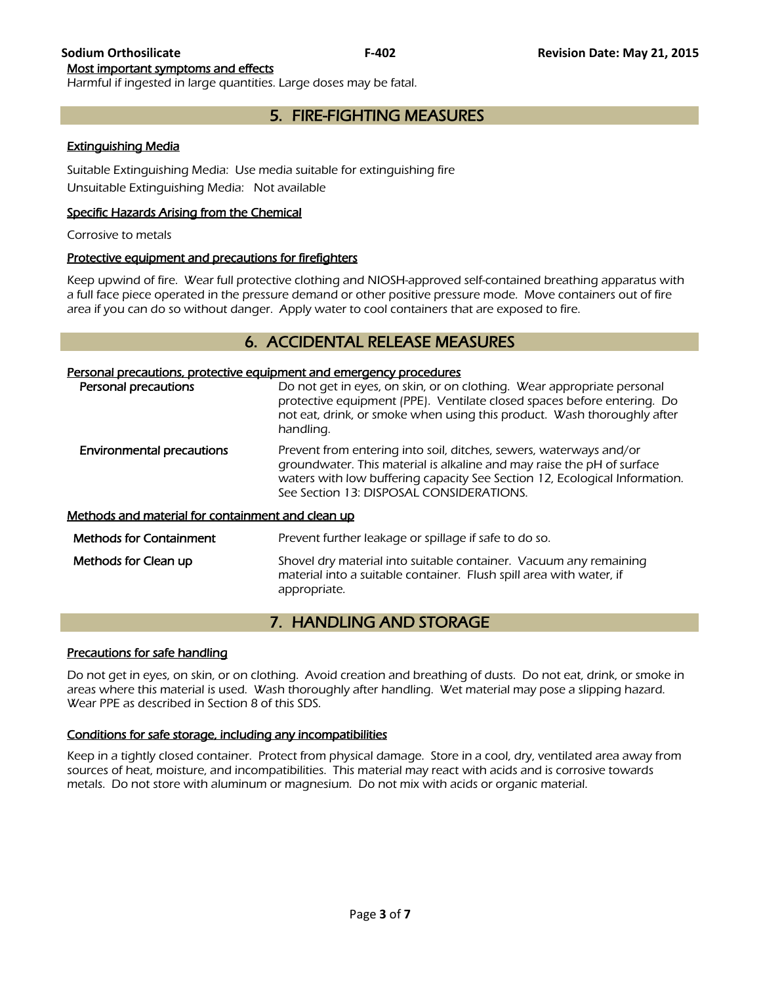Most important symptoms and effects

Harmful if ingested in large quantities. Large doses may be fatal.

## 5. FIRE-FIGHTING MEASURES

## Extinguishing Media

Suitable Extinguishing Media: Use media suitable for extinguishing fire Unsuitable Extinguishing Media: Not available

## Specific Hazards Arising from the Chemical

Corrosive to metals

## Protective equipment and precautions for firefighters

Keep upwind of fire. Wear full protective clothing and NIOSH-approved self-contained breathing apparatus with a full face piece operated in the pressure demand or other positive pressure mode. Move containers out of fire area if you can do so without danger. Apply water to cool containers that are exposed to fire.

## 6. ACCIDENTAL RELEASE MEASURES

## Personal precautions, protective equipment and emergency procedures

| <u>crootier precederons, protective equipment emailedency procedures</u><br>Personal precautions | Do not get in eyes, on skin, or on clothing. Wear appropriate personal<br>protective equipment (PPE). Ventilate closed spaces before entering. Do<br>not eat, drink, or smoke when using this product. Wash thoroughly after<br>handling.                              |
|--------------------------------------------------------------------------------------------------|------------------------------------------------------------------------------------------------------------------------------------------------------------------------------------------------------------------------------------------------------------------------|
| <b>Environmental precautions</b>                                                                 | Prevent from entering into soil, ditches, sewers, waterways and/or<br>groundwater. This material is alkaline and may raise the pH of surface<br>waters with low buffering capacity See Section 12, Ecological Information.<br>See Section 13: DISPOSAL CONSIDERATIONS. |
| <u>Methods and material for containment and clean up</u>                                         |                                                                                                                                                                                                                                                                        |
| <b>Methods for Containment</b>                                                                   | Prevent further leakage or spillage if safe to do so.                                                                                                                                                                                                                  |
| Methods for Clean up                                                                             | Shovel dry material into suitable container. Vacuum any remaining<br>material into a suitable container. Flush spill area with water, if<br>appropriate.                                                                                                               |

## 7. HANDLING AND STORAGE

## Precautions for safe handling

Do not get in eyes, on skin, or on clothing. Avoid creation and breathing of dusts. Do not eat, drink, or smoke in areas where this material is used. Wash thoroughly after handling. Wet material may pose a slipping hazard. Wear PPE as described in Section 8 of this SDS.

## Conditions for safe storage, including any incompatibilities

Keep in a tightly closed container. Protect from physical damage. Store in a cool, dry, ventilated area away from sources of heat, moisture, and incompatibilities. This material may react with acids and is corrosive towards metals. Do not store with aluminum or magnesium. Do not mix with acids or organic material.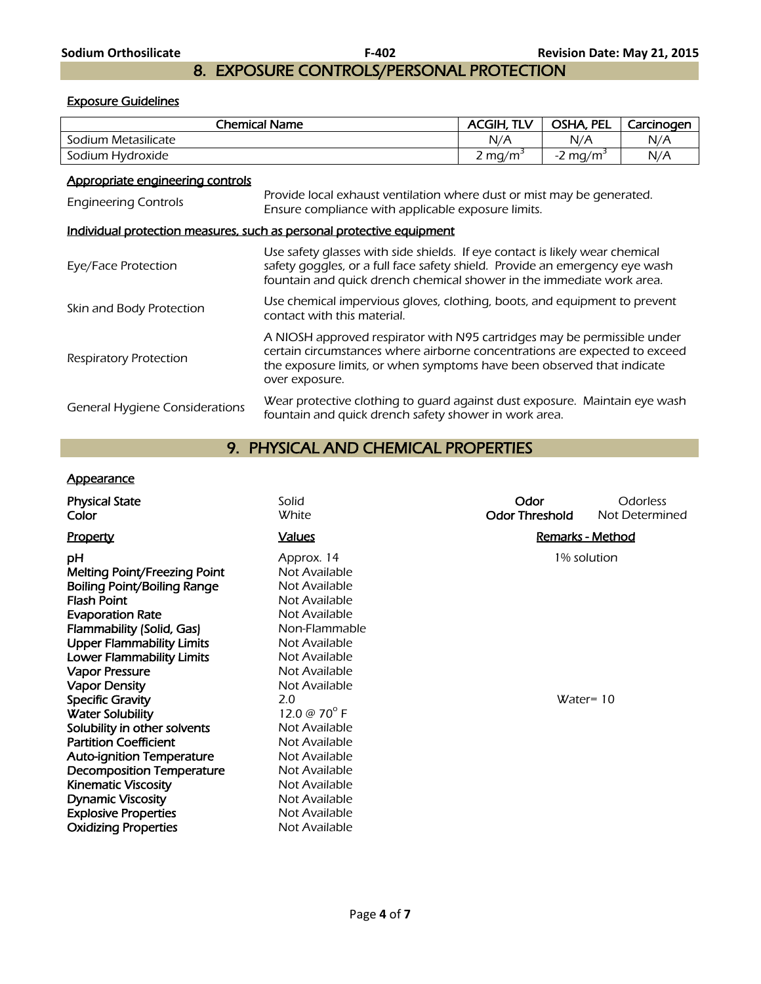## 8. EXPOSURE CONTROLS/PERSONAL PROTECTION

## Exposure Guidelines

| <b>Chemical Name</b>                                            |                                                                                                                                                                                                                                                    | <b>ACGIH, TLV</b>   | OSHA, PEL              | Carcinogen |
|-----------------------------------------------------------------|----------------------------------------------------------------------------------------------------------------------------------------------------------------------------------------------------------------------------------------------------|---------------------|------------------------|------------|
| Sodium Metasilicate                                             |                                                                                                                                                                                                                                                    | N/A                 | N/A                    | N/A        |
| Sodium Hydroxide                                                |                                                                                                                                                                                                                                                    | 2 mg/m <sup>3</sup> | $-2$ mg/m <sup>3</sup> | N/A        |
| Appropriate engineering controls<br><b>Engineering Controls</b> | Provide local exhaust ventilation where dust or mist may be generated.<br>Ensure compliance with applicable exposure limits.                                                                                                                       |                     |                        |            |
|                                                                 | Individual protection measures, such as personal protective equipment                                                                                                                                                                              |                     |                        |            |
| Eye/Face Protection                                             | Use safety glasses with side shields. If eye contact is likely wear chemical<br>safety goggles, or a full face safety shield. Provide an emergency eye wash<br>fountain and quick drench chemical shower in the immediate work area.               |                     |                        |            |
| Skin and Body Protection                                        | Use chemical impervious gloves, clothing, boots, and equipment to prevent<br>contact with this material.                                                                                                                                           |                     |                        |            |
| Respiratory Protection                                          | A NIOSH approved respirator with N95 cartridges may be permissible under<br>certain circumstances where airborne concentrations are expected to exceed<br>the exposure limits, or when symptoms have been observed that indicate<br>over exposure. |                     |                        |            |
| General Hygiene Considerations                                  | Wear protective clothing to quard against dust exposure. Maintain eye wash<br>fountain and quick drench safety shower in work area.                                                                                                                |                     |                        |            |

## 9. PHYSICAL AND CHEMICAL PROPERTIES

## **Appearance**

| <b>Physical State</b><br>Color                                                                                                                                                                                                                                                                                                                                                                                                                                                                                                                 | Solid<br>White                                                                                                                                                                                                                                                                                             | Odor<br><b>Odor Threshold</b> | Odorless<br>Not Determined  |
|------------------------------------------------------------------------------------------------------------------------------------------------------------------------------------------------------------------------------------------------------------------------------------------------------------------------------------------------------------------------------------------------------------------------------------------------------------------------------------------------------------------------------------------------|------------------------------------------------------------------------------------------------------------------------------------------------------------------------------------------------------------------------------------------------------------------------------------------------------------|-------------------------------|-----------------------------|
| Property                                                                                                                                                                                                                                                                                                                                                                                                                                                                                                                                       | <b>Values</b>                                                                                                                                                                                                                                                                                              |                               | <b>Remarks - Method</b>     |
| рH<br><b>Melting Point/Freezing Point</b><br><b>Boiling Point/Boiling Range</b><br><b>Flash Point</b><br><b>Evaporation Rate</b><br>Flammability (Solid, Gas)<br><b>Upper Flammability Limits</b><br><b>Lower Flammability Limits</b><br><b>Vapor Pressure</b><br><b>Vapor Density</b><br><b>Specific Gravity</b><br><b>Water Solubility</b><br>Solubility in other solvents<br><b>Partition Coefficient</b><br><b>Auto-ignition Temperature</b><br><b>Decomposition Temperature</b><br><b>Kinematic Viscosity</b><br><b>Dynamic Viscosity</b> | Approx. 14<br>Not Available<br>Not Available<br>Not Available<br>Not Available<br>Non-Flammable<br>Not Available<br>Not Available<br>Not Available<br>Not Available<br>2.0<br>12.0 @ 70 $^{\circ}$ F<br>Not Available<br>Not Available<br>Not Available<br>Not Available<br>Not Available<br>Not Available |                               | 1% solution<br>$Water = 10$ |
| <b>Explosive Properties</b><br><b>Oxidizing Properties</b>                                                                                                                                                                                                                                                                                                                                                                                                                                                                                     | Not Available<br>Not Available                                                                                                                                                                                                                                                                             |                               |                             |
|                                                                                                                                                                                                                                                                                                                                                                                                                                                                                                                                                |                                                                                                                                                                                                                                                                                                            |                               |                             |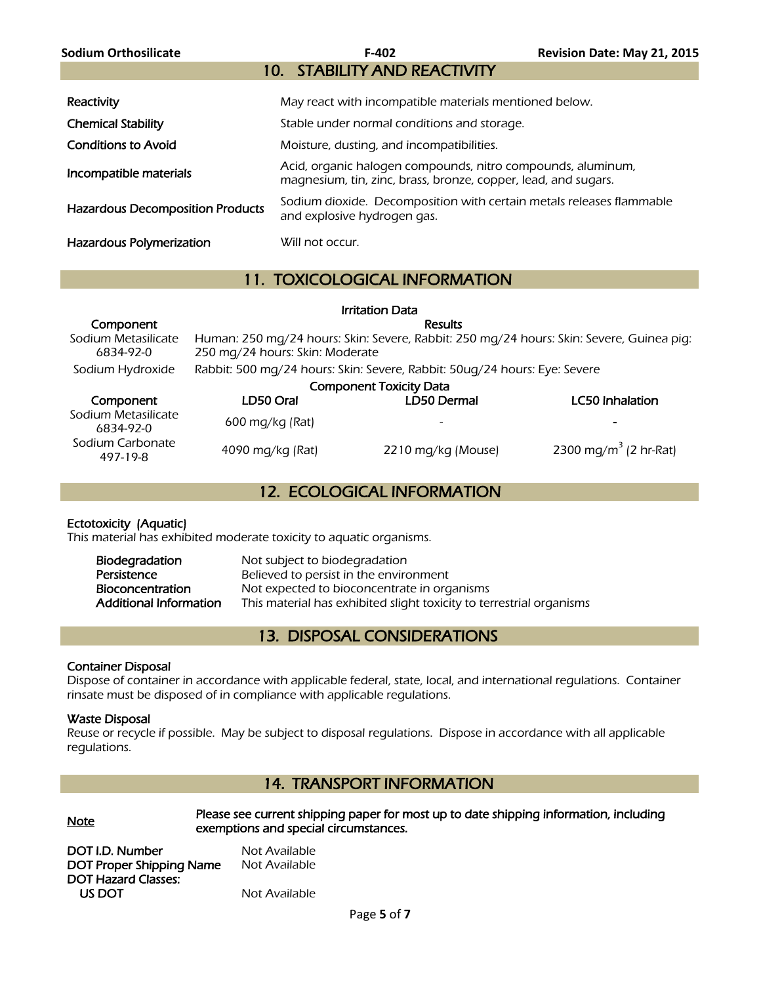| Sodium Orthosilicate                    | F-402                                                                                                                         | Revision Date: May 21, 2015 |
|-----------------------------------------|-------------------------------------------------------------------------------------------------------------------------------|-----------------------------|
|                                         | 10. STABILITY AND REACTIVITY                                                                                                  |                             |
| Reactivity                              | May react with incompatible materials mentioned below.                                                                        |                             |
| <b>Chemical Stability</b>               | Stable under normal conditions and storage.                                                                                   |                             |
| <b>Conditions to Avoid</b>              | Moisture, dusting, and incompatibilities.                                                                                     |                             |
| Incompatible materials                  | Acid, organic halogen compounds, nitro compounds, aluminum,<br>magnesium, tin, zinc, brass, bronze, copper, lead, and sugars. |                             |
| <b>Hazardous Decomposition Products</b> | Sodium dioxide. Decomposition with certain metals releases flammable<br>and explosive hydrogen gas.                           |                             |
| Hazardous Polymerization                | Will not occur.                                                                                                               |                             |

## 11. TOXICOLOGICAL INFORMATION

|                                  |                                                                                                                             | <b>Irritation Data</b> |                                   |
|----------------------------------|-----------------------------------------------------------------------------------------------------------------------------|------------------------|-----------------------------------|
| Component                        | <b>Results</b>                                                                                                              |                        |                                   |
| Sodium Metasilicate<br>6834-92-0 | Human: 250 mg/24 hours: Skin: Severe, Rabbit: 250 mg/24 hours: Skin: Severe, Guinea pig:<br>250 mg/24 hours: Skin: Moderate |                        |                                   |
| Sodium Hydroxide                 | Rabbit: 500 mg/24 hours: Skin: Severe, Rabbit: 50ug/24 hours: Eye: Severe                                                   |                        |                                   |
| <b>Component Toxicity Data</b>   |                                                                                                                             |                        |                                   |
| Component                        | LD50 Oral                                                                                                                   | LD50 Dermal            | <b>LC50 Inhalation</b>            |
| Sodium Metasilicate<br>6834-92-0 | 600 mg/kg (Rat)                                                                                                             |                        |                                   |
| Sodium Carbonate<br>497-19-8     | 4090 mg/kg (Rat)                                                                                                            | 2210 mg/kg (Mouse)     | 2300 mg/m <sup>3</sup> (2 hr-Rat) |

## 12. ECOLOGICAL INFORMATION

## Ectotoxicity (Aquatic)

This material has exhibited moderate toxicity to aquatic organisms.

| Biodegradation                | Not subject to biodegradation                                        |
|-------------------------------|----------------------------------------------------------------------|
| Persistence                   | Believed to persist in the environment                               |
| Bioconcentration              | Not expected to bioconcentrate in organisms                          |
| <b>Additional Information</b> | This material has exhibited slight toxicity to terrestrial organisms |

## 13. DISPOSAL CONSIDERATIONS

## Container Disposal

Dispose of container in accordance with applicable federal, state, local, and international regulations. Container rinsate must be disposed of in compliance with applicable regulations.

## Waste Disposal

Reuse or recycle if possible. May be subject to disposal regulations. Dispose in accordance with all applicable regulations.

## 14. TRANSPORT INFORMATION

Please see current shipping paper for most up to date shipping information, including<br>
Note exemptions and special circumstances.

DOT I.D. Number Not Available DOT Proper Shipping Name Not Available DOT Hazard Classes: US DOT Not Available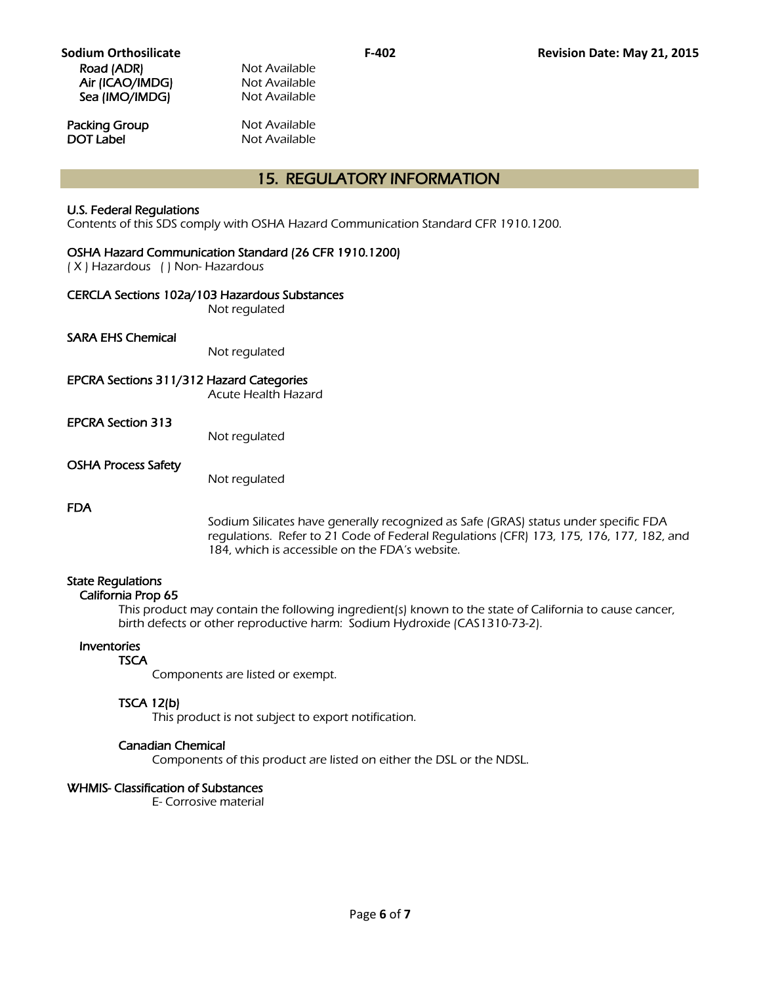**Packing Group Not Available**<br> **DOT Label Not Available** 

**Not Available** 

## 15. REGULATORY INFORMATION

## U.S. Federal Regulations

Contents of this SDS comply with OSHA Hazard Communication Standard CFR 1910.1200.

## OSHA Hazard Communication Standard (26 CFR 1910.1200)

( X ) Hazardous ( ) Non- Hazardous

#### CERCLA Sections 102a/103 Hazardous Substances

Not regulated

#### SARA EHS Chemical

Not regulated

#### EPCRA Sections 311/312 Hazard Categories

Acute Health Hazard

#### EPCRA Section 313

Not regulated

#### OSHA Process Safety

Not regulated

#### FDA

Sodium Silicates have generally recognized as Safe (GRAS) status under specific FDA regulations. Refer to 21 Code of Federal Regulations (CFR) 173, 175, 176, 177, 182, and 184, which is accessible on the FDA's website.

## State Regulations

## California Prop 65

 This product may contain the following ingredient(s) known to the state of California to cause cancer, birth defects or other reproductive harm: Sodium Hydroxide (CAS1310-73-2).

#### Inventories

#### **TSCA**

Components are listed or exempt.

## TSCA 12(b)

This product is not subject to export notification.

## Canadian Chemical

Components of this product are listed on either the DSL or the NDSL.

## WHMIS- Classification of Substances

E- Corrosive material